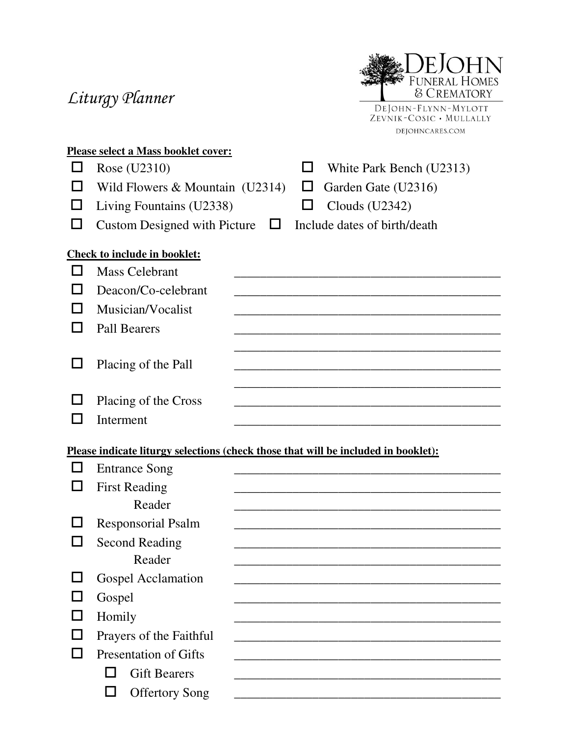# Liturgy Planner



| <b>Please select a Mass booklet cover:</b> |                                     |   |  |                              |  |  |
|--------------------------------------------|-------------------------------------|---|--|------------------------------|--|--|
|                                            | Rose (U2310)                        |   |  | White Park Bench (U2313)     |  |  |
|                                            | Wild Flowers $&$ Mountain (U2314)   |   |  | Garden Gate (U2316)          |  |  |
|                                            | Living Fountains (U2338)            |   |  | Clouds $(U2342)$             |  |  |
|                                            | <b>Custom Designed with Picture</b> | ⊔ |  | Include dates of birth/death |  |  |
| <b>Check to include in booklet:</b>        |                                     |   |  |                              |  |  |
|                                            | <b>Mass Celebrant</b>               |   |  |                              |  |  |
|                                            | Deacon/Co-celebrant                 |   |  |                              |  |  |
|                                            | Musician/Vocalist                   |   |  |                              |  |  |
|                                            | <b>Pall Bearers</b>                 |   |  |                              |  |  |
|                                            |                                     |   |  |                              |  |  |
|                                            | Placing of the Pall                 |   |  |                              |  |  |
|                                            |                                     |   |  |                              |  |  |
|                                            | Placing of the Cross                |   |  |                              |  |  |
|                                            | Interment                           |   |  |                              |  |  |
|                                            |                                     |   |  |                              |  |  |

#### **Please indicate liturgy selections (check those that will be included in booklet):**

| <b>Entrance Song</b>         |
|------------------------------|
| <b>First Reading</b>         |
| Reader                       |
| <b>Responsorial Psalm</b>    |
| <b>Second Reading</b>        |
| Reader                       |
| <b>Gospel Acclamation</b>    |
| Gospel                       |
| Homily                       |
| Prayers of the Faithful      |
| <b>Presentation of Gifts</b> |
| <b>Gift Bearers</b>          |
| <b>Offertory Song</b>        |